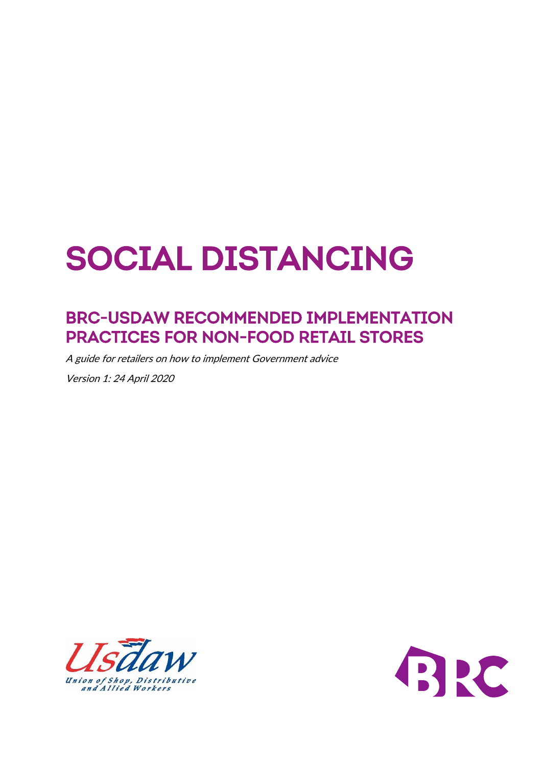# **Social Distancing**

# **BRC-USDAW Recommended implementation practices for Non-Food Retail Stores**

A guide for retailers on how to implement Government advice

Version 1: 24 April 2020



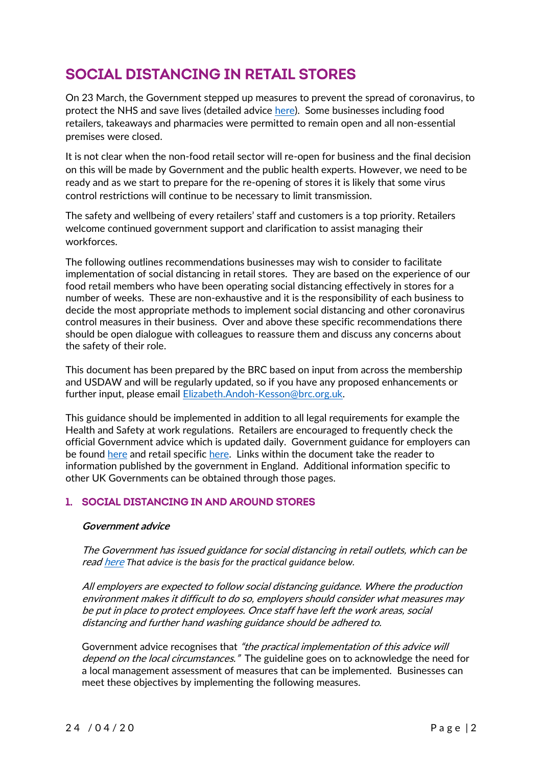# **Social Distancing in Retail Stores**

On 23 March, the Government stepped up measures to prevent the spread of coronavirus, to protect the NHS and save lives (detailed advice [here\)](https://assets.publishing.service.gov.uk/government/uploads/system/uploads/attachment_data/file/874732/230320_-_Revised_guidance_note_-_finalVF.pdf). Some businesses including food retailers, takeaways and pharmacies were permitted to remain open and all non-essential premises were closed.

It is not clear when the non-food retail sector will re-open for business and the final decision on this will be made by Government and the public health experts. However, we need to be ready and as we start to prepare for the re-opening of stores it is likely that some virus control restrictions will continue to be necessary to limit transmission.

The safety and wellbeing of every retailers' staff and customers is a top priority. Retailers welcome continued government support and clarification to assist managing their workforces.

The following outlines recommendations businesses may wish to consider to facilitate implementation of social distancing in retail stores. They are based on the experience of our food retail members who have been operating social distancing effectively in stores for a number of weeks. These are non-exhaustive and it is the responsibility of each business to decide the most appropriate methods to implement social distancing and other coronavirus control measures in their business. Over and above these specific recommendations there should be open dialogue with colleagues to reassure them and discuss any concerns about the safety of their role.

This document has been prepared by the BRC based on input from across the membership and USDAW and will be regularly updated, so if you have any proposed enhancements or further input, please email [Elizabeth.Andoh-Kesson@brc.org.uk.](mailto:Elizabeth.Andoh-Kesson@brc.org.uk)

This guidance should be implemented in addition to all legal requirements for example the Health and Safety at work regulations. Retailers are encouraged to frequently check the official Government advice which is updated daily. Government guidance for employers can be found [here](https://www.gov.uk/government/publications/guidance-to-employers-and-businesses-about-covid-19/guidance-for-employers-and-businesses-on-coronavirus-covid-19) and retail specifi[c here.](https://www.gov.uk/guidance/social-distancing-in-the-workplace-during-coronavirus-covid-19-sector-guidance#retail) Links within the document take the reader to information published by the government in England. Additional information specific to other UK Governments can be obtained through those pages.

# **1. Social distancing in and around stores**

#### **Government advice**

The Government has issued guidance for social distancing in retail outlets, which can be rea[d here](https://www.gov.uk/guidance/social-distancing-in-the-workplace-during-coronavirus-covid-19-sector-guidance#retail) *That advice is the basis for the practical guidance below.*

All employers are expected to follow social distancing guidance. Where the production environment makes it difficult to do so, employers should consider what measures may be put in place to protect employees. Once staff have left the work areas, social distancing and further hand washing guidance should be adhered to.

Government advice recognises that "the practical implementation of this advice will depend on the local circumstances." The guideline goes on to acknowledge the need for a local management assessment of measures that can be implemented. Businesses can meet these objectives by implementing the following measures.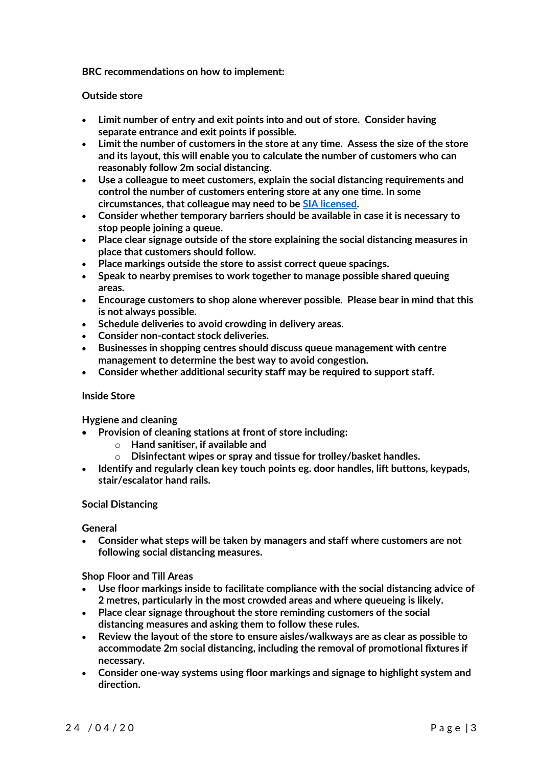**BRC recommendations on how to implement:**

#### **Outside store**

- **Limit number of entry and exit points into and out of store. Consider having separate entrance and exit points if possible.**
- **Limit the number of customers in the store at any time. Assess the size of the store and its layout, this will enable you to calculate the number of customers who can reasonably follow 2m social distancing.**
- **Use a colleague to meet customers, explain the social distancing requirements and control the number of customers entering store at any one time. In some circumstances, that colleague may need to b[e SIA licensed.](https://www.sia.homeoffice.gov.uk/pages/coronavirus.aspx)**
- **Consider whether temporary barriers should be available in case it is necessary to stop people joining a queue.**
- **Place clear signage outside of the store explaining the social distancing measures in place that customers should follow.**
- **Place markings outside the store to assist correct queue spacings.**
- **Speak to nearby premises to work together to manage possible shared queuing areas.**
- **Encourage customers to shop alone wherever possible. Please bear in mind that this is not always possible.**
- **Schedule deliveries to avoid crowding in delivery areas.**
- **Consider non-contact stock deliveries.**
- **Businesses in shopping centres should discuss queue management with centre management to determine the best way to avoid congestion.**
- **Consider whether additional security staff may be required to support staff.**

#### **Inside Store**

**Hygiene and cleaning**

- **Provision of cleaning stations at front of store including:**
	- o **Hand sanitiser, if available and**
	- o **Disinfectant wipes or spray and tissue for trolley/basket handles.**
- **Identify and regularly clean key touch points eg. door handles, lift buttons, keypads, stair/escalator hand rails.**

#### **Social Distancing**

**General**

• **Consider what steps will be taken by managers and staff where customers are not following social distancing measures.**

**Shop Floor and Till Areas**

- **Use floor markings inside to facilitate compliance with the social distancing advice of 2 metres, particularly in the most crowded areas and where queueing is likely.**
- **Place clear signage throughout the store reminding customers of the social distancing measures and asking them to follow these rules.**
- **Review the layout of the store to ensure aisles/walkways are as clear as possible to accommodate 2m social distancing, including the removal of promotional fixtures if necessary.**
- **Consider one-way systems using floor markings and signage to highlight system and direction.**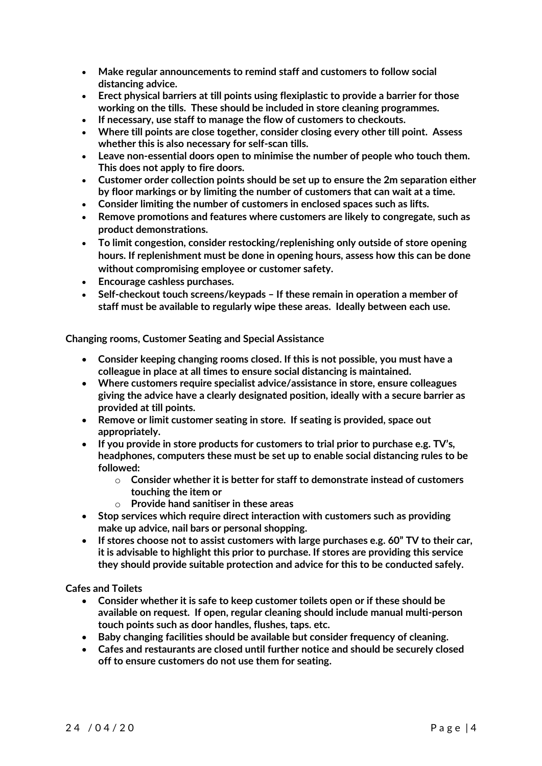- **Make regular announcements to remind staff and customers to follow social distancing advice.**
- **Erect physical barriers at till points using flexiplastic to provide a barrier for those working on the tills. These should be included in store cleaning programmes.**
- **If necessary, use staff to manage the flow of customers to checkouts.**
- **Where till points are close together, consider closing every other till point. Assess whether this is also necessary for self-scan tills.**
- **Leave non-essential doors open to minimise the number of people who touch them. This does not apply to fire doors.**
- **Customer order collection points should be set up to ensure the 2m separation either by floor markings or by limiting the number of customers that can wait at a time.**
- **Consider limiting the number of customers in enclosed spaces such as lifts.**
- **Remove promotions and features where customers are likely to congregate, such as product demonstrations.**
- **To limit congestion, consider restocking/replenishing only outside of store opening hours. If replenishment must be done in opening hours, assess how this can be done without compromising employee or customer safety.**
- **Encourage cashless purchases.**
- **Self-checkout touch screens/keypads – If these remain in operation a member of staff must be available to regularly wipe these areas. Ideally between each use.**

**Changing rooms, Customer Seating and Special Assistance**

- **Consider keeping changing rooms closed. If this is not possible, you must have a colleague in place at all times to ensure social distancing is maintained.**
- **Where customers require specialist advice/assistance in store, ensure colleagues giving the advice have a clearly designated position, ideally with a secure barrier as provided at till points.**
- **Remove or limit customer seating in store. If seating is provided, space out appropriately.**
- **If you provide in store products for customers to trial prior to purchase e.g. TV's, headphones, computers these must be set up to enable social distancing rules to be followed:**
	- o **Consider whether it is better for staff to demonstrate instead of customers touching the item or**
	- o **Provide hand sanitiser in these areas**
- **Stop services which require direct interaction with customers such as providing make up advice, nail bars or personal shopping.**
- **If stores choose not to assist customers with large purchases e.g. 60" TV to their car, it is advisable to highlight this prior to purchase. If stores are providing this service they should provide suitable protection and advice for this to be conducted safely.**

**Cafes and Toilets**

- **Consider whether it is safe to keep customer toilets open or if these should be available on request. If open, regular cleaning should include manual multi-person touch points such as door handles, flushes, taps. etc.**
- **Baby changing facilities should be available but consider frequency of cleaning.**
- **Cafes and restaurants are closed until further notice and should be securely closed off to ensure customers do not use them for seating.**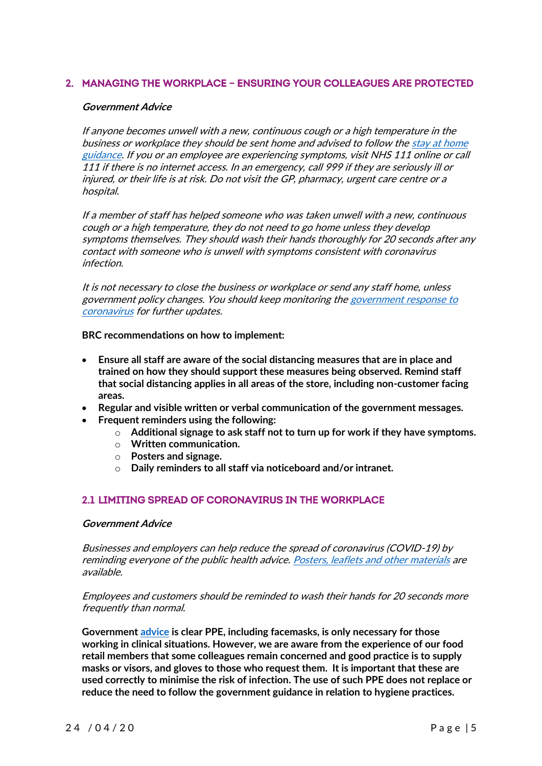# **2. MANAGING THE WORKPLACE – ENSURING YOUR COLLEAGUES ARE PROTECTED**

#### **Government Advice**

If anyone becomes unwell with a new, continuous cough or a high temperature in the business or workplace they should be sent home and advised to follow the [stay at home](https://www.gov.uk/government/publications/covid-19-stay-at-home-guidance)  [guidance.](https://www.gov.uk/government/publications/covid-19-stay-at-home-guidance) If you or an employee are experiencing symptoms, visit NHS 111 online or call 111 if there is no internet access. In an emergency, call 999 if they are seriously ill or injured, or their life is at risk. Do not visit the GP, pharmacy, urgent care centre or a hospital.

If a member of staff has helped someone who was taken unwell with a new, continuous cough or a high temperature, they do not need to go home unless they develop symptoms themselves. They should wash their hands thoroughly for 20 seconds after any contact with someone who is unwell with symptoms consistent with coronavirus infection.

It is not necessary to close the business or workplace or send any staff home, unless government policy changes. You should keep monitoring the [government response to](https://www.gov.uk/coronavirus)  [coronavirus](https://www.gov.uk/coronavirus) for further updates.

**BRC recommendations on how to implement:**

- **Ensure all staff are aware of the social distancing measures that are in place and trained on how they should support these measures being observed. Remind staff that social distancing applies in all areas of the store, including non-customer facing areas.**
- **Regular and visible written or verbal communication of the government messages.**
- **Frequent reminders using the following:**
	- o **Additional signage to ask staff not to turn up for work if they have symptoms.**
	- o **Written communication.**
	- o **Posters and signage.**
	- o **Daily reminders to all staff via noticeboard and/or intranet.**

# **2.1 LIMITING SPREAD OF CORONAVIRUS IN THE WORKPLACE**

#### **Government Advice**

Businesses and employers can help reduce the spread of coronavirus (COVID-19) by reminding everyone of the public health advice. [Posters, leaflets and other materials](https://campaignresources.phe.gov.uk/resources/campaigns/101/resources/5016) are available.

Employees and customers should be reminded to wash their hands for 20 seconds more frequently than normal.

**Government [advice](https://www.gov.uk/government/collections/coronavirus-covid-19-personal-protective-equipment-ppe) is clear PPE, including facemasks, is only necessary for those working in clinical situations. However, we are aware from the experience of our food retail members that some colleagues remain concerned and good practice is to supply masks or visors, and gloves to those who request them. It is important that these are used correctly to minimise the risk of infection. The use of such PPE does not replace or reduce the need to follow the government guidance in relation to hygiene practices.**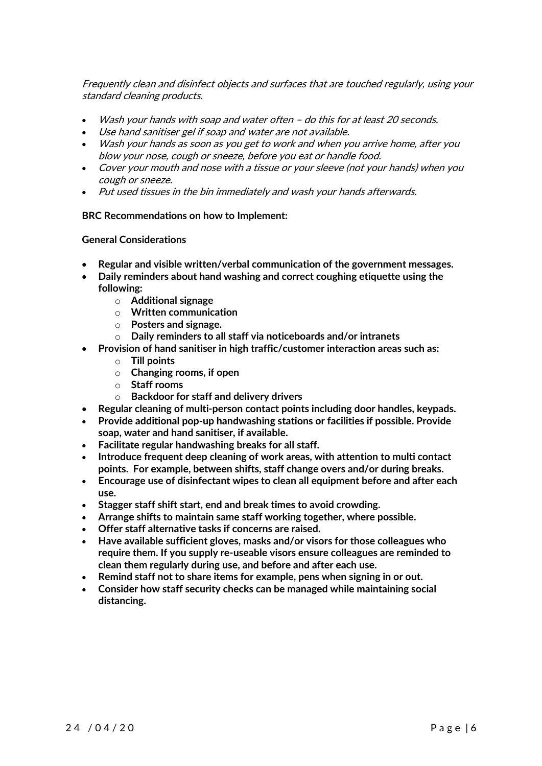Frequently clean and disinfect objects and surfaces that are touched regularly, using your standard cleaning products.

- Wash your hands with soap and water often do this for at least 20 seconds.
- Use hand sanitiser gel if soap and water are not available.
- Wash your hands as soon as you get to work and when you arrive home, after you blow your nose, cough or sneeze, before you eat or handle food.
- Cover your mouth and nose with a tissue or your sleeve (not your hands) when you cough or sneeze.
- Put used tissues in the bin immediately and wash your hands afterwards.

#### **BRC Recommendations on how to Implement:**

#### **General Considerations**

- **Regular and visible written/verbal communication of the government messages.**
- **Daily reminders about hand washing and correct coughing etiquette using the following:**
	- o **Additional signage**
	- o **Written communication**
	- o **Posters and signage.**
	- o **Daily reminders to all staff via noticeboards and/or intranets**
	- **Provision of hand sanitiser in high traffic/customer interaction areas such as:**
		- o **Till points**
		- o **Changing rooms, if open**
		- o **Staff rooms**
		- o **Backdoor for staff and delivery drivers**
- **Regular cleaning of multi-person contact points including door handles, keypads.**
- **Provide additional pop-up handwashing stations or facilities if possible. Provide soap, water and hand sanitiser, if available.**
- **Facilitate regular handwashing breaks for all staff.**
- **Introduce frequent deep cleaning of work areas, with attention to multi contact points. For example, between shifts, staff change overs and/or during breaks.**
- **Encourage use of disinfectant wipes to clean all equipment before and after each use.**
- **Stagger staff shift start, end and break times to avoid crowding.**
- **Arrange shifts to maintain same staff working together, where possible.**
- **Offer staff alternative tasks if concerns are raised.**
- **Have available sufficient gloves, masks and/or visors for those colleagues who require them. If you supply re-useable visors ensure colleagues are reminded to clean them regularly during use, and before and after each use.**
- **Remind staff not to share items for example, pens when signing in or out.**
- **Consider how staff security checks can be managed while maintaining social distancing.**